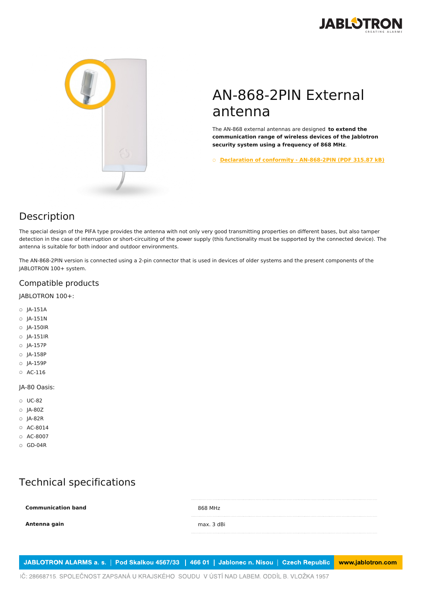



# AN-868-2PIN External antenna

The AN-868 external antennas are designed **to extend the communication range of wireless devices of the Jablotron security system using a frequency of 868 MHz**.

○ **Declaration of conformity - [AN-868-2PIN](https://www.jablotron.com/en/template/product/447/?file=0&jt_id=18979&hash=e5KerE&do=downloadCertificate) (PDF 315.87 kB)**

### Description

The special design of the PIFA type provides the antenna with not only very good transmitting properties on different bases, but also tamper detection in the case of interruption or short-circuiting of the power supply (this functionality must be supported by the connected device). The antenna is suitable for both indoor and outdoor environments.

The AN-868-2PIN version is connected using a 2-pin connector that is used in devices of older systems and the present components of the JABLOTRON 100+ system.

### Compatible products

JABLOTRON 100+:

- JA-151A
- JA-151N
- JA-150IR
- JA-151IR
- JA-157P
- JA-158P
- JA-159P
- AC-116

#### JA-80 Oasis:

- UC-82
- JA-80Z
- JA-82R
- AC-8014
- AC-8007
- GD-04R

## Technical specifications

**Communication band** 868 MHz **Antenna gain** max. 3 dBi

JABLOTRON ALARMS a. s. | Pod Skalkou 4567/33 | 466 01 | Jablonec n. Nisou | Czech Republic www.jablotron.com